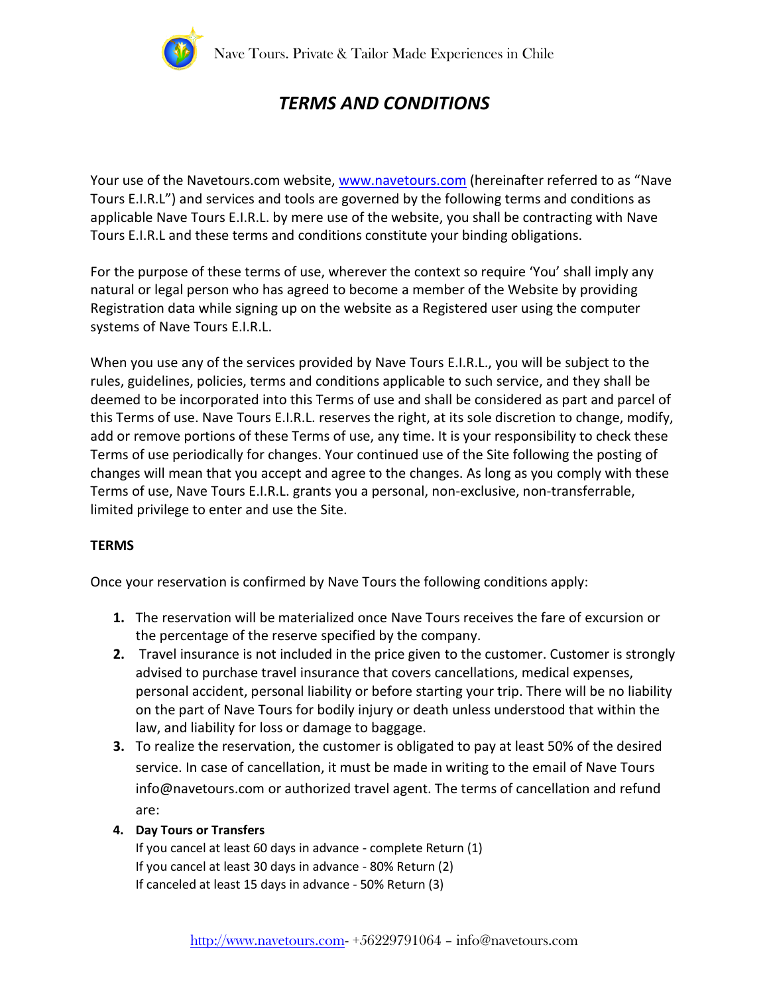

# *TERMS AND CONDITIONS*

Your use of the Navetours.com website[, www.navetours.com](http://www.navetours.com/) (hereinafter referred to as "Nave Tours E.I.R.L") and services and tools are governed by the following terms and conditions as applicable Nave Tours E.I.R.L. by mere use of the website, you shall be contracting with Nave Tours E.I.R.L and these terms and conditions constitute your binding obligations.

For the purpose of these terms of use, wherever the context so require 'You' shall imply any natural or legal person who has agreed to become a member of the Website by providing Registration data while signing up on the website as a Registered user using the computer systems of Nave Tours E.I.R.L.

When you use any of the services provided by Nave Tours E.I.R.L., you will be subject to the rules, guidelines, policies, terms and conditions applicable to such service, and they shall be deemed to be incorporated into this Terms of use and shall be considered as part and parcel of this Terms of use. Nave Tours E.I.R.L. reserves the right, at its sole discretion to change, modify, add or remove portions of these Terms of use, any time. It is your responsibility to check these Terms of use periodically for changes. Your continued use of the Site following the posting of changes will mean that you accept and agree to the changes. As long as you comply with these Terms of use, Nave Tours E.I.R.L. grants you a personal, non-exclusive, non-transferrable, limited privilege to enter and use the Site.

## **TERMS**

Once your reservation is confirmed by Nave Tours the following conditions apply:

- **1.** The reservation will be materialized once Nave Tours receives the fare of excursion or the percentage of the reserve specified by the company.
- **2.** Travel insurance is not included in the price given to the customer. Customer is strongly advised to purchase travel insurance that covers cancellations, medical expenses, personal accident, personal liability or before starting your trip. There will be no liability on the part of Nave Tours for bodily injury or death unless understood that within the law, and liability for loss or damage to baggage.
- **3.** To realize the reservation, the customer is obligated to pay at least 50% of the desired service. In case of cancellation, it must be made in writing to the email of Nave Tours info@navetours.com or authorized travel agent. The terms of cancellation and refund are:

## **4. Day Tours or Transfers**

If you cancel at least 60 days in advance - complete Return (1) If you cancel at least 30 days in advance - 80% Return (2) If canceled at least 15 days in advance - 50% Return (3)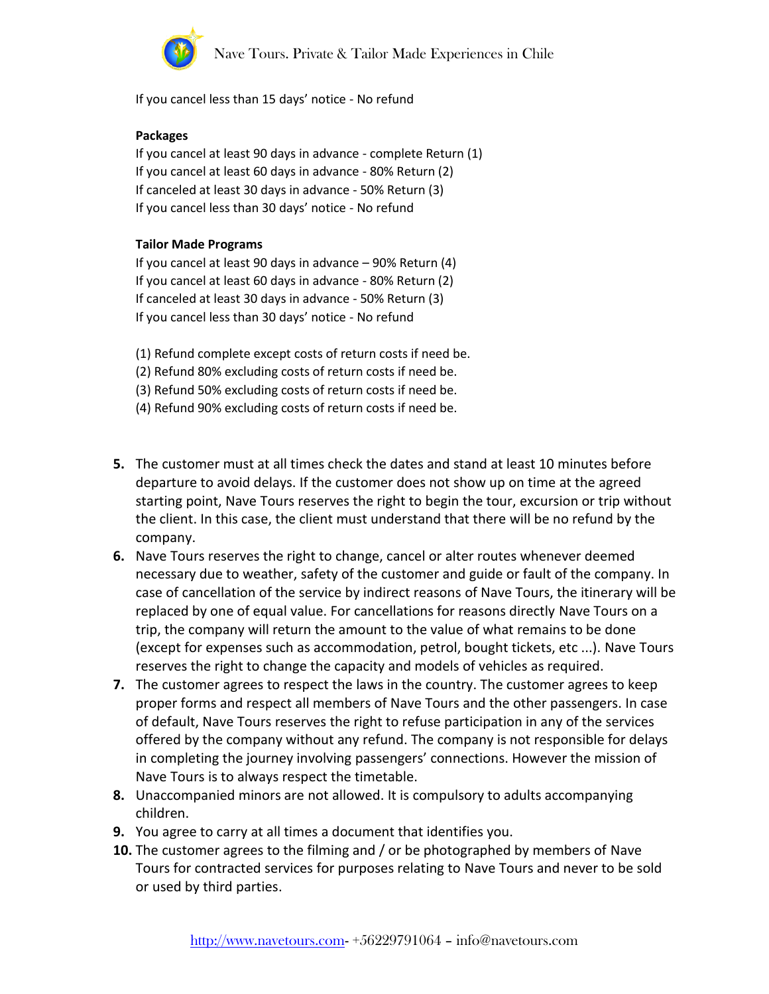

If you cancel less than 15 days' notice - No refund

#### **Packages**

If you cancel at least 90 days in advance - complete Return (1) If you cancel at least 60 days in advance - 80% Return (2) If canceled at least 30 days in advance - 50% Return (3) If you cancel less than 30 days' notice - No refund

#### **Tailor Made Programs**

If you cancel at least 90 days in advance – 90% Return (4) If you cancel at least 60 days in advance - 80% Return (2) If canceled at least 30 days in advance - 50% Return (3) If you cancel less than 30 days' notice - No refund

- (1) Refund complete except costs of return costs if need be.
- (2) Refund 80% excluding costs of return costs if need be.
- (3) Refund 50% excluding costs of return costs if need be.
- (4) Refund 90% excluding costs of return costs if need be.
- **5.** The customer must at all times check the dates and stand at least 10 minutes before departure to avoid delays. If the customer does not show up on time at the agreed starting point, Nave Tours reserves the right to begin the tour, excursion or trip without the client. In this case, the client must understand that there will be no refund by the company.
- **6.** Nave Tours reserves the right to change, cancel or alter routes whenever deemed necessary due to weather, safety of the customer and guide or fault of the company. In case of cancellation of the service by indirect reasons of Nave Tours, the itinerary will be replaced by one of equal value. For cancellations for reasons directly Nave Tours on a trip, the company will return the amount to the value of what remains to be done (except for expenses such as accommodation, petrol, bought tickets, etc ...). Nave Tours reserves the right to change the capacity and models of vehicles as required.
- **7.** The customer agrees to respect the laws in the country. The customer agrees to keep proper forms and respect all members of Nave Tours and the other passengers. In case of default, Nave Tours reserves the right to refuse participation in any of the services offered by the company without any refund. The company is not responsible for delays in completing the journey involving passengers' connections. However the mission of Nave Tours is to always respect the timetable.
- **8.** Unaccompanied minors are not allowed. It is compulsory to adults accompanying children.
- **9.** You agree to carry at all times a document that identifies you.
- **10.** The customer agrees to the filming and / or be photographed by members of Nave Tours for contracted services for purposes relating to Nave Tours and never to be sold or used by third parties.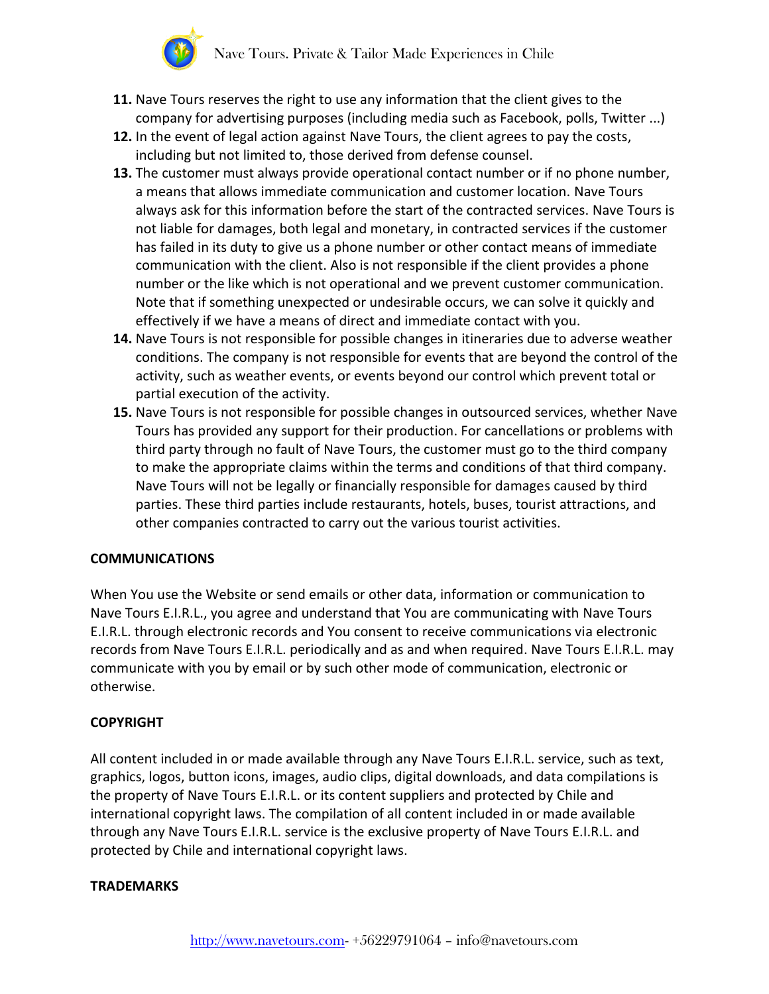

- **11.** Nave Tours reserves the right to use any information that the client gives to the company for advertising purposes (including media such as Facebook, polls, Twitter ...)
- **12.** In the event of legal action against Nave Tours, the client agrees to pay the costs, including but not limited to, those derived from defense counsel.
- **13.** The customer must always provide operational contact number or if no phone number, a means that allows immediate communication and customer location. Nave Tours always ask for this information before the start of the contracted services. Nave Tours is not liable for damages, both legal and monetary, in contracted services if the customer has failed in its duty to give us a phone number or other contact means of immediate communication with the client. Also is not responsible if the client provides a phone number or the like which is not operational and we prevent customer communication. Note that if something unexpected or undesirable occurs, we can solve it quickly and effectively if we have a means of direct and immediate contact with you.
- **14.** Nave Tours is not responsible for possible changes in itineraries due to adverse weather conditions. The company is not responsible for events that are beyond the control of the activity, such as weather events, or events beyond our control which prevent total or partial execution of the activity.
- **15.** Nave Tours is not responsible for possible changes in outsourced services, whether Nave Tours has provided any support for their production. For cancellations or problems with third party through no fault of Nave Tours, the customer must go to the third company to make the appropriate claims within the terms and conditions of that third company. Nave Tours will not be legally or financially responsible for damages caused by third parties. These third parties include restaurants, hotels, buses, tourist attractions, and other companies contracted to carry out the various tourist activities.

# **COMMUNICATIONS**

When You use the Website or send emails or other data, information or communication to Nave Tours E.I.R.L., you agree and understand that You are communicating with Nave Tours E.I.R.L. through electronic records and You consent to receive communications via electronic records from Nave Tours E.I.R.L. periodically and as and when required. Nave Tours E.I.R.L. may communicate with you by email or by such other mode of communication, electronic or otherwise.

# **COPYRIGHT**

All content included in or made available through any Nave Tours E.I.R.L. service, such as text, graphics, logos, button icons, images, audio clips, digital downloads, and data compilations is the property of Nave Tours E.I.R.L. or its content suppliers and protected by Chile and international copyright laws. The compilation of all content included in or made available through any Nave Tours E.I.R.L. service is the exclusive property of Nave Tours E.I.R.L. and protected by Chile and international copyright laws.

# **TRADEMARKS**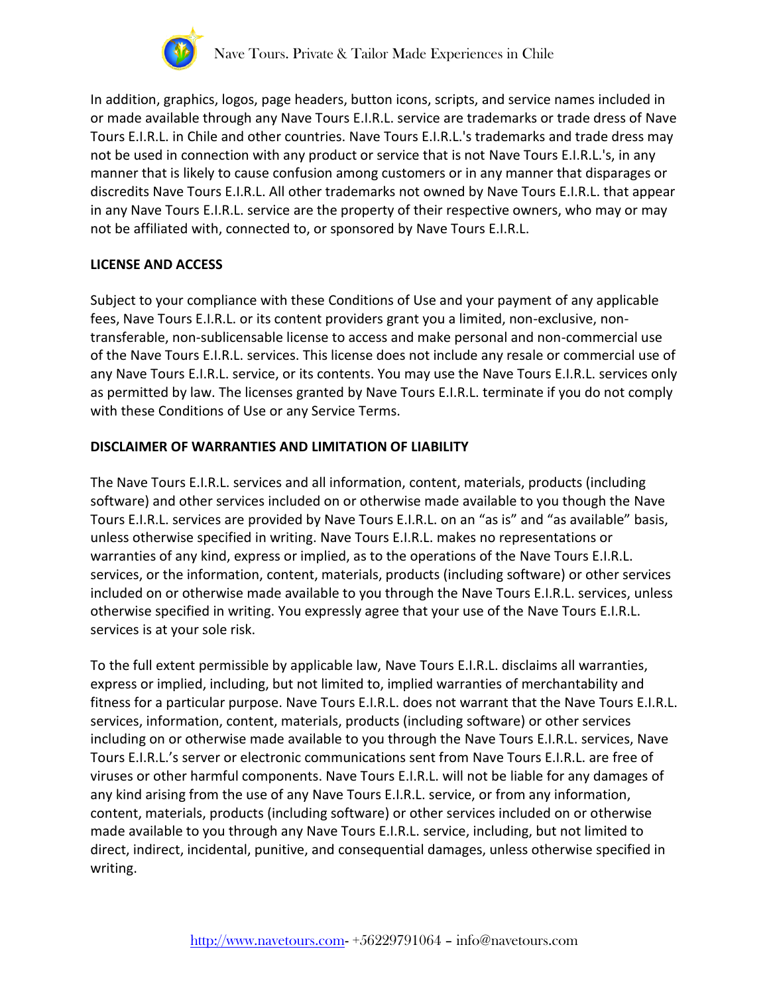

In addition, graphics, logos, page headers, button icons, scripts, and service names included in or made available through any Nave Tours E.I.R.L. service are trademarks or trade dress of Nave Tours E.I.R.L. in Chile and other countries. Nave Tours E.I.R.L.'s trademarks and trade dress may not be used in connection with any product or service that is not Nave Tours E.I.R.L.'s, in any manner that is likely to cause confusion among customers or in any manner that disparages or discredits Nave Tours E.I.R.L. All other trademarks not owned by Nave Tours E.I.R.L. that appear in any Nave Tours E.I.R.L. service are the property of their respective owners, who may or may not be affiliated with, connected to, or sponsored by Nave Tours E.I.R.L.

## **LICENSE AND ACCESS**

Subject to your compliance with these Conditions of Use and your payment of any applicable fees, Nave Tours E.I.R.L. or its content providers grant you a limited, non-exclusive, nontransferable, non-sublicensable license to access and make personal and non-commercial use of the Nave Tours E.I.R.L. services. This license does not include any resale or commercial use of any Nave Tours E.I.R.L. service, or its contents. You may use the Nave Tours E.I.R.L. services only as permitted by law. The licenses granted by Nave Tours E.I.R.L. terminate if you do not comply with these Conditions of Use or any Service Terms.

## **DISCLAIMER OF WARRANTIES AND LIMITATION OF LIABILITY**

The Nave Tours E.I.R.L. services and all information, content, materials, products (including software) and other services included on or otherwise made available to you though the Nave Tours E.I.R.L. services are provided by Nave Tours E.I.R.L. on an "as is" and "as available" basis, unless otherwise specified in writing. Nave Tours E.I.R.L. makes no representations or warranties of any kind, express or implied, as to the operations of the Nave Tours E.I.R.L. services, or the information, content, materials, products (including software) or other services included on or otherwise made available to you through the Nave Tours E.I.R.L. services, unless otherwise specified in writing. You expressly agree that your use of the Nave Tours E.I.R.L. services is at your sole risk.

To the full extent permissible by applicable law, Nave Tours E.I.R.L. disclaims all warranties, express or implied, including, but not limited to, implied warranties of merchantability and fitness for a particular purpose. Nave Tours E.I.R.L. does not warrant that the Nave Tours E.I.R.L. services, information, content, materials, products (including software) or other services including on or otherwise made available to you through the Nave Tours E.I.R.L. services, Nave Tours E.I.R.L.'s server or electronic communications sent from Nave Tours E.I.R.L. are free of viruses or other harmful components. Nave Tours E.I.R.L. will not be liable for any damages of any kind arising from the use of any Nave Tours E.I.R.L. service, or from any information, content, materials, products (including software) or other services included on or otherwise made available to you through any Nave Tours E.I.R.L. service, including, but not limited to direct, indirect, incidental, punitive, and consequential damages, unless otherwise specified in writing.